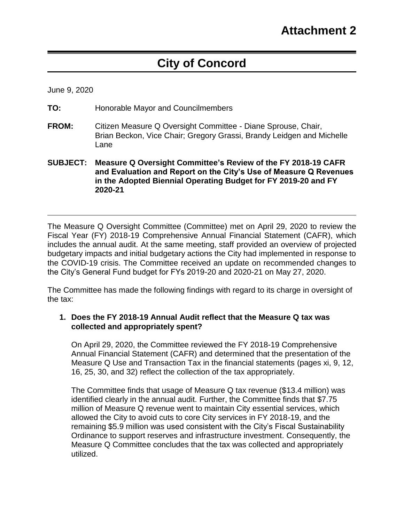# **City of Concord**

June 9, 2020

- **TO:** Honorable Mayor and Councilmembers
- **FROM:** Citizen Measure Q Oversight Committee Diane Sprouse, Chair, Brian Beckon, Vice Chair; Gregory Grassi, Brandy Leidgen and Michelle Lane
- **SUBJECT: Measure Q Oversight Committee's Review of the FY 2018-19 CAFR and Evaluation and Report on the City's Use of Measure Q Revenues in the Adopted Biennial Operating Budget for FY 2019-20 and FY 2020-21**

The Measure Q Oversight Committee (Committee) met on April 29, 2020 to review the Fiscal Year (FY) 2018-19 Comprehensive Annual Financial Statement (CAFR), which includes the annual audit. At the same meeting, staff provided an overview of projected budgetary impacts and initial budgetary actions the City had implemented in response to the COVID-19 crisis. The Committee received an update on recommended changes to the City's General Fund budget for FYs 2019-20 and 2020-21 on May 27, 2020.

The Committee has made the following findings with regard to its charge in oversight of the tax:

#### **1. Does the FY 2018-19 Annual Audit reflect that the Measure Q tax was collected and appropriately spent?**

On April 29, 2020, the Committee reviewed the FY 2018-19 Comprehensive Annual Financial Statement (CAFR) and determined that the presentation of the Measure Q Use and Transaction Tax in the financial statements (pages xi, 9, 12, 16, 25, 30, and 32) reflect the collection of the tax appropriately.

The Committee finds that usage of Measure Q tax revenue (\$13.4 million) was identified clearly in the annual audit. Further, the Committee finds that \$7.75 million of Measure Q revenue went to maintain City essential services, which allowed the City to avoid cuts to core City services in FY 2018-19, and the remaining \$5.9 million was used consistent with the City's Fiscal Sustainability Ordinance to support reserves and infrastructure investment. Consequently, the Measure Q Committee concludes that the tax was collected and appropriately utilized.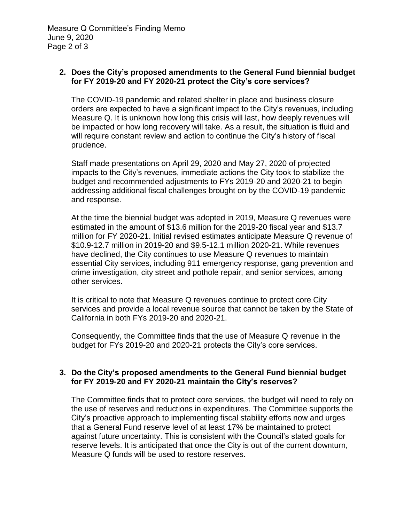## **2. Does the City's proposed amendments to the General Fund biennial budget for FY 2019-20 and FY 2020-21 protect the City's core services?**

The COVID-19 pandemic and related shelter in place and business closure orders are expected to have a significant impact to the City's revenues, including Measure Q. It is unknown how long this crisis will last, how deeply revenues will be impacted or how long recovery will take. As a result, the situation is fluid and will require constant review and action to continue the City's history of fiscal prudence.

Staff made presentations on April 29, 2020 and May 27, 2020 of projected impacts to the City's revenues, immediate actions the City took to stabilize the budget and recommended adjustments to FYs 2019-20 and 2020-21 to begin addressing additional fiscal challenges brought on by the COVID-19 pandemic and response.

At the time the biennial budget was adopted in 2019, Measure Q revenues were estimated in the amount of \$13.6 million for the 2019-20 fiscal year and \$13.7 million for FY 2020-21. Initial revised estimates anticipate Measure Q revenue of \$10.9-12.7 million in 2019-20 and \$9.5-12.1 million 2020-21. While revenues have declined, the City continues to use Measure Q revenues to maintain essential City services, including 911 emergency response, gang prevention and crime investigation, city street and pothole repair, and senior services, among other services.

It is critical to note that Measure Q revenues continue to protect core City services and provide a local revenue source that cannot be taken by the State of California in both FYs 2019-20 and 2020-21.

Consequently, the Committee finds that the use of Measure Q revenue in the budget for FYs 2019-20 and 2020-21 protects the City's core services.

## **3. Do the City's proposed amendments to the General Fund biennial budget for FY 2019-20 and FY 2020-21 maintain the City's reserves?**

The Committee finds that to protect core services, the budget will need to rely on the use of reserves and reductions in expenditures. The Committee supports the City's proactive approach to implementing fiscal stability efforts now and urges that a General Fund reserve level of at least 17% be maintained to protect against future uncertainty. This is consistent with the Council's stated goals for reserve levels. It is anticipated that once the City is out of the current downturn, Measure Q funds will be used to restore reserves.